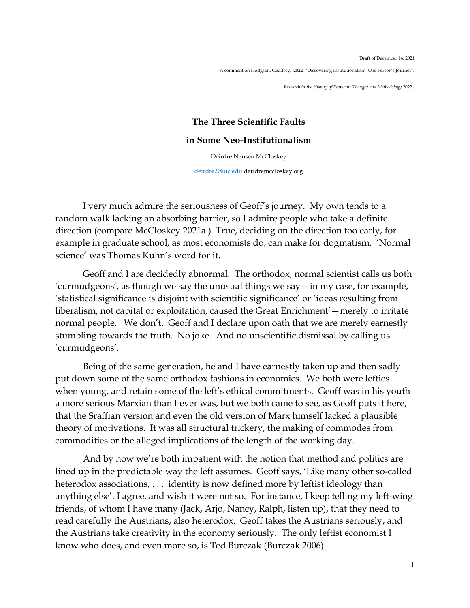Draft of December 14, 2021 A comment on Hodgson, Geoffrey. 2022. 'Discovering Institutionalism: One Person's Journey'.

*Research in the History of Economic Thought and Methodology* <sup>2022</sup>.

## **The Three Scientific Faults in Some Neo-Institutionalism**

Deirdre Nansen McCloskey

[deirdre2@uic.edu](mailto:deirdre2@uic.edu) deirdremccloskey.org

I very much admire the seriousness of Geoff's journey. My own tends to a random walk lacking an absorbing barrier, so I admire people who take a definite direction (compare McCloskey 2021a.) True, deciding on the direction too early, for example in graduate school, as most economists do, can make for dogmatism. 'Normal science' was Thomas Kuhn's word for it.

Geoff and I are decidedly abnormal. The orthodox, normal scientist calls us both 'curmudgeons', as though we say the unusual things we say—in my case, for example, 'statistical significance is disjoint with scientific significance' or 'ideas resulting from liberalism, not capital or exploitation, caused the Great Enrichment'—merely to irritate normal people. We don't. Geoff and I declare upon oath that we are merely earnestly stumbling towards the truth. No joke. And no unscientific dismissal by calling us 'curmudgeons'.

Being of the same generation, he and I have earnestly taken up and then sadly put down some of the same orthodox fashions in economics. We both were lefties when young, and retain some of the left's ethical commitments. Geoff was in his youth a more serious Marxian than I ever was, but we both came to see, as Geoff puts it here, that the Sraffian version and even the old version of Marx himself lacked a plausible theory of motivations. It was all structural trickery, the making of commodes from commodities or the alleged implications of the length of the working day.

And by now we're both impatient with the notion that method and politics are lined up in the predictable way the left assumes. Geoff says, 'Like many other so-called heterodox associations, . . . identity is now defined more by leftist ideology than anything else'. I agree, and wish it were not so. For instance, I keep telling my left-wing friends, of whom I have many (Jack, Arjo, Nancy, Ralph, listen up), that they need to read carefully the Austrians, also heterodox. Geoff takes the Austrians seriously, and the Austrians take creativity in the economy seriously. The only leftist economist I know who does, and even more so, is Ted Burczak (Burczak 2006).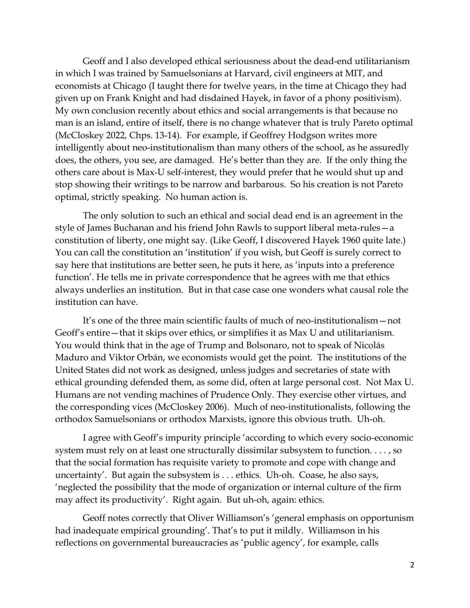Geoff and I also developed ethical seriousness about the dead-end utilitarianism in which I was trained by Samuelsonians at Harvard, civil engineers at MIT, and economists at Chicago (I taught there for twelve years, in the time at Chicago they had given up on Frank Knight and had disdained Hayek, in favor of a phony positivism). My own conclusion recently about ethics and social arrangements is that because no man is an island, entire of itself, there is no change whatever that is truly Pareto optimal (McCloskey 2022, Chps. 13-14). For example, if Geoffrey Hodgson writes more intelligently about neo-institutionalism than many others of the school, as he assuredly does, the others, you see, are damaged. He's better than they are. If the only thing the others care about is Max-U self-interest, they would prefer that he would shut up and stop showing their writings to be narrow and barbarous. So his creation is not Pareto optimal, strictly speaking. No human action is.

The only solution to such an ethical and social dead end is an agreement in the style of James Buchanan and his friend John Rawls to support liberal meta-rules—a constitution of liberty, one might say. (Like Geoff, I discovered Hayek 1960 quite late.) You can call the constitution an 'institution' if you wish, but Geoff is surely correct to say here that institutions are better seen, he puts it here, as 'inputs into a preference function'. He tells me in private correspondence that he agrees with me that ethics always underlies an institution. But in that case case one wonders what causal role the institution can have.

It's one of the three main scientific faults of much of neo-institutionalism—not Geoff's entire—that it skips over ethics, or simplifies it as Max U and utilitarianism. You would think that in the age of Trump and Bolsonaro, not to speak of Nicolás Maduro and Viktor Orbán, we economists would get the point. The institutions of the United States did not work as designed, unless judges and secretaries of state with ethical grounding defended them, as some did, often at large personal cost. Not Max U. Humans are not vending machines of Prudence Only. They exercise other virtues, and the corresponding vices (McCloskey 2006). Much of neo-institutionalists, following the orthodox Samuelsonians or orthodox Marxists, ignore this obvious truth. Uh-oh.

I agree with Geoff's impurity principle 'according to which every socio-economic system must rely on at least one structurally dissimilar subsystem to function. . . . , so that the social formation has requisite variety to promote and cope with change and uncertainty'. But again the subsystem is . . . ethics. Uh-oh. Coase, he also says, 'neglected the possibility that the mode of organization or internal culture of the firm may affect its productivity'. Right again. But uh-oh, again: ethics.

Geoff notes correctly that Oliver Williamson's 'general emphasis on opportunism had inadequate empirical grounding'. That's to put it mildly. Williamson in his reflections on governmental bureaucracies as 'public agency', for example, calls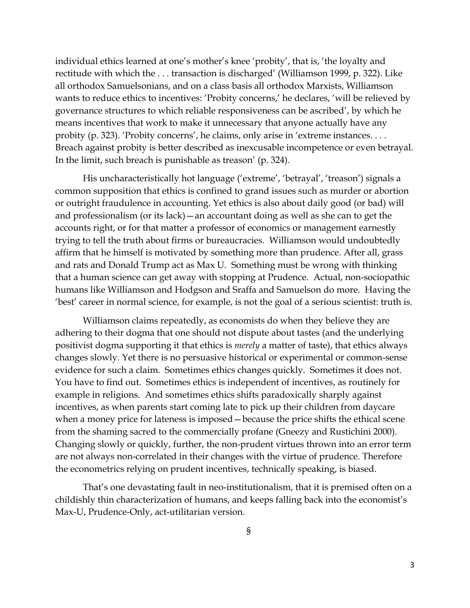individual ethics learned at one's mother's knee 'probity', that is, 'the loyalty and rectitude with which the . . . transaction is discharged' (Williamson 1999, p. 322). Like all orthodox Samuelsonians, and on a class basis all orthodox Marxists, Williamson wants to reduce ethics to incentives: 'Probity concerns,' he declares, 'will be relieved by governance structures to which reliable responsiveness can be ascribed', by which he means incentives that work to make it unnecessary that anyone actually have any probity (p. 323). 'Probity concerns', he claims, only arise in 'extreme instances. . . . Breach against probity is better described as inexcusable incompetence or even betrayal. In the limit, such breach is punishable as treason' (p. 324).

His uncharacteristically hot language ('extreme', 'betrayal', 'treason') signals a common supposition that ethics is confined to grand issues such as murder or abortion or outright fraudulence in accounting. Yet ethics is also about daily good (or bad) will and professionalism (or its lack)—an accountant doing as well as she can to get the accounts right, or for that matter a professor of economics or management earnestly trying to tell the truth about firms or bureaucracies. Williamson would undoubtedly affirm that he himself is motivated by something more than prudence. After all, grass and rats and Donald Trump act as Max U. Something must be wrong with thinking that a human science can get away with stopping at Prudence. Actual, non-sociopathic humans like Williamson and Hodgson and Sraffa and Samuelson do more. Having the 'best' career in normal science, for example, is not the goal of a serious scientist: truth is.

Williamson claims repeatedly, as economists do when they believe they are adhering to their dogma that one should not dispute about tastes (and the underlying positivist dogma supporting it that ethics is *merely* a matter of taste), that ethics always changes slowly. Yet there is no persuasive historical or experimental or common-sense evidence for such a claim. Sometimes ethics changes quickly. Sometimes it does not. You have to find out. Sometimes ethics is independent of incentives, as routinely for example in religions. And sometimes ethics shifts paradoxically sharply against incentives, as when parents start coming late to pick up their children from daycare when a money price for lateness is imposed—because the price shifts the ethical scene from the shaming sacred to the commercially profane (Gneezy and Rustichini 2000). Changing slowly or quickly, further, the non-prudent virtues thrown into an error term are not always non-correlated in their changes with the virtue of prudence. Therefore the econometrics relying on prudent incentives, technically speaking, is biased.

That's one devastating fault in neo-institutionalism, that it is premised often on a childishly thin characterization of humans, and keeps falling back into the economist's Max-U, Prudence-Only, act-utilitarian version.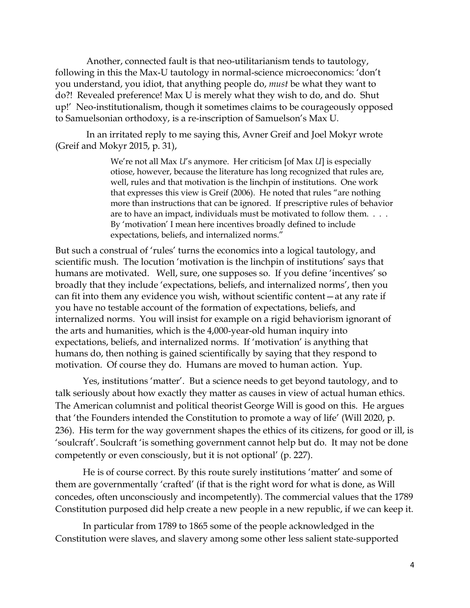Another, connected fault is that neo-utilitarianism tends to tautology, following in this the Max-U tautology in normal-science microeconomics: 'don't you understand, you idiot, that anything people do, *must* be what they want to do?! Revealed preference! Max U is merely what they wish to do, and do. Shut up!' Neo-institutionalism, though it sometimes claims to be courageously opposed to Samuelsonian orthodoxy, is a re-inscription of Samuelson's Max U.

In an irritated reply to me saying this, Avner Greif and Joel Mokyr wrote (Greif and Mokyr 2015, p. 31),

> We're not all Max *U*'s anymore. Her criticism [of Max *U*] is especially otiose, however, because the literature has long recognized that rules are, well, rules and that motivation is the linchpin of institutions. One work that expresses this view is Greif (2006). He noted that rules "are nothing more than instructions that can be ignored. If prescriptive rules of behavior are to have an impact, individuals must be motivated to follow them. . . . By 'motivation' I mean here incentives broadly defined to include expectations, beliefs, and internalized norms."

But such a construal of 'rules' turns the economics into a logical tautology, and scientific mush. The locution 'motivation is the linchpin of institutions' says that humans are motivated. Well, sure, one supposes so. If you define 'incentives' so broadly that they include 'expectations, beliefs, and internalized norms', then you can fit into them any evidence you wish, without scientific content—at any rate if you have no testable account of the formation of expectations, beliefs, and internalized norms. You will insist for example on a rigid behaviorism ignorant of the arts and humanities, which is the 4,000-year-old human inquiry into expectations, beliefs, and internalized norms. If 'motivation' is anything that humans do, then nothing is gained scientifically by saying that they respond to motivation. Of course they do. Humans are moved to human action. Yup.

Yes, institutions 'matter'. But a science needs to get beyond tautology, and to talk seriously about how exactly they matter as causes in view of actual human ethics. The American columnist and political theorist George Will is good on this. He argues that 'the Founders intended the Constitution to promote a way of life' (Will 2020, p. 236). His term for the way government shapes the ethics of its citizens, for good or ill, is 'soulcraft'. Soulcraft 'is something government cannot help but do. It may not be done competently or even consciously, but it is not optional' (p. 227).

He is of course correct. By this route surely institutions 'matter' and some of them are governmentally 'crafted' (if that is the right word for what is done, as Will concedes, often unconsciously and incompetently). The commercial values that the 1789 Constitution purposed did help create a new people in a new republic, if we can keep it.

In particular from 1789 to 1865 some of the people acknowledged in the Constitution were slaves, and slavery among some other less salient state-supported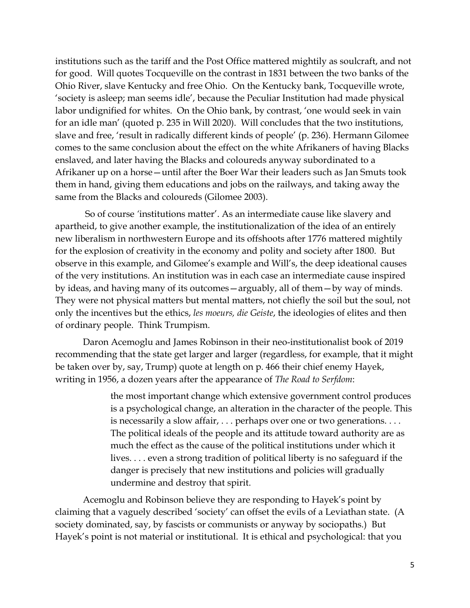institutions such as the tariff and the Post Office mattered mightily as soulcraft, and not for good. Will quotes Tocqueville on the contrast in 1831 between the two banks of the Ohio River, slave Kentucky and free Ohio. On the Kentucky bank, Tocqueville wrote, 'society is asleep; man seems idle', because the Peculiar Institution had made physical labor undignified for whites. On the Ohio bank, by contrast, 'one would seek in vain for an idle man' (quoted p. 235 in Will 2020). Will concludes that the two institutions, slave and free, 'result in radically different kinds of people' (p. 236). Hermann Gilomee comes to the same conclusion about the effect on the white Afrikaners of having Blacks enslaved, and later having the Blacks and coloureds anyway subordinated to a Afrikaner up on a horse—until after the Boer War their leaders such as Jan Smuts took them in hand, giving them educations and jobs on the railways, and taking away the same from the Blacks and coloureds (Gilomee 2003).

So of course *'*institutions matter'. As an intermediate cause like slavery and apartheid, to give another example, the institutionalization of the idea of an entirely new liberalism in northwestern Europe and its offshoots after 1776 mattered mightily for the explosion of creativity in the economy and polity and society after 1800. But observe in this example, and Gilomee's example and Will's, the deep ideational causes of the very institutions. An institution was in each case an intermediate cause inspired by ideas, and having many of its outcomes—arguably, all of them—by way of minds. They were not physical matters but mental matters, not chiefly the soil but the soul, not only the incentives but the ethics, *les moeurs, die Geiste*, the ideologies of elites and then of ordinary people. Think Trumpism.

Daron Acemoglu and James Robinson in their neo-institutionalist book of 2019 recommending that the state get larger and larger (regardless, for example, that it might be taken over by, say, Trump) quote at length on p. 466 their chief enemy Hayek, writing in 1956, a dozen years after the appearance of *The Road to Serfdom*:

> the most important change which extensive government control produces is a psychological change, an alteration in the character of the people. This is necessarily a slow affair, . . . perhaps over one or two generations. . . . The political ideals of the people and its attitude toward authority are as much the effect as the cause of the political institutions under which it lives. . . . even a strong tradition of political liberty is no safeguard if the danger is precisely that new institutions and policies will gradually undermine and destroy that spirit.

Acemoglu and Robinson believe they are responding to Hayek's point by claiming that a vaguely described 'society' can offset the evils of a Leviathan state. (A society dominated, say, by fascists or communists or anyway by sociopaths.) But Hayek's point is not material or institutional. It is ethical and psychological: that you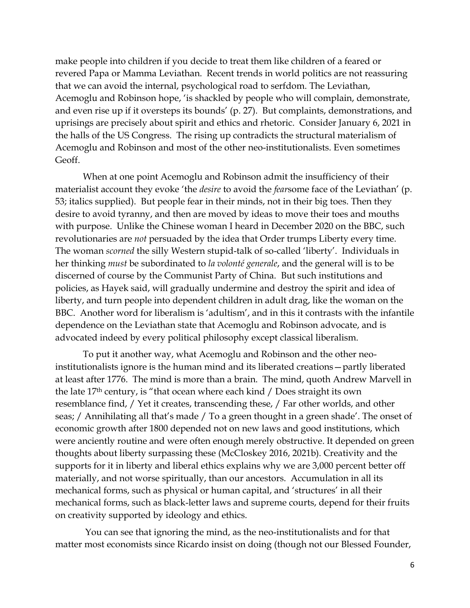make people into children if you decide to treat them like children of a feared or revered Papa or Mamma Leviathan. Recent trends in world politics are not reassuring that we can avoid the internal, psychological road to serfdom. The Leviathan, Acemoglu and Robinson hope, 'is shackled by people who will complain, demonstrate, and even rise up if it oversteps its bounds' (p. 27). But complaints, demonstrations, and uprisings are precisely about spirit and ethics and rhetoric. Consider January 6, 2021 in the halls of the US Congress. The rising up contradicts the structural materialism of Acemoglu and Robinson and most of the other neo-institutionalists. Even sometimes Geoff.

When at one point Acemoglu and Robinson admit the insufficiency of their materialist account they evoke 'the *desire* to avoid the *fear*some face of the Leviathan' (p. 53; italics supplied). But people fear in their minds, not in their big toes. Then they desire to avoid tyranny, and then are moved by ideas to move their toes and mouths with purpose. Unlike the Chinese woman I heard in December 2020 on the BBC, such revolutionaries are *not* persuaded by the idea that Order trumps Liberty every time. The woman *scorned* the silly Western stupid-talk of so-called 'liberty'. Individuals in her thinking *must* be subordinated to *la volonté generale*, and the general will is to be discerned of course by the Communist Party of China. But such institutions and policies, as Hayek said, will gradually undermine and destroy the spirit and idea of liberty, and turn people into dependent children in adult drag, like the woman on the BBC. Another word for liberalism is 'adultism', and in this it contrasts with the infantile dependence on the Leviathan state that Acemoglu and Robinson advocate, and is advocated indeed by every political philosophy except classical liberalism.

To put it another way, what Acemoglu and Robinson and the other neoinstitutionalists ignore is the human mind and its liberated creations—partly liberated at least after 1776. The mind is more than a brain. The mind, quoth Andrew Marvell in the late 17th century, is "that ocean where each kind / Does straight its own resemblance find, / Yet it creates, transcending these, / Far other worlds, and other seas; / Annihilating all that's made / To a green thought in a green shade'. The onset of economic growth after 1800 depended not on new laws and good institutions, which were anciently routine and were often enough merely obstructive. It depended on green thoughts about liberty surpassing these (McCloskey 2016, 2021b). Creativity and the supports for it in liberty and liberal ethics explains why we are 3,000 percent better off materially, and not worse spiritually, than our ancestors. Accumulation in all its mechanical forms, such as physical or human capital, and 'structures' in all their mechanical forms, such as black-letter laws and supreme courts, depend for their fruits on creativity supported by ideology and ethics.

You can see that ignoring the mind, as the neo-institutionalists and for that matter most economists since Ricardo insist on doing (though not our Blessed Founder,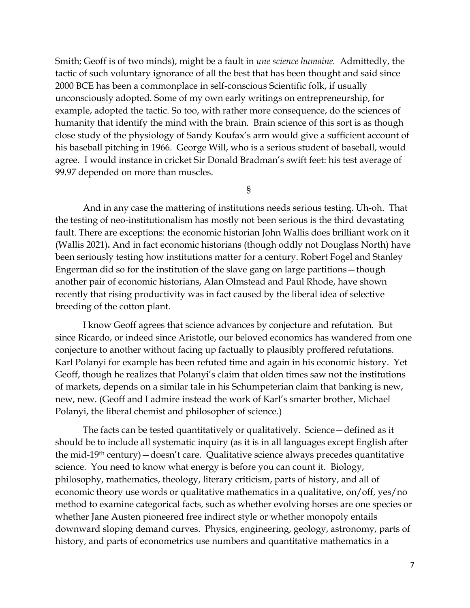Smith; Geoff is of two minds), might be a fault in *une science humaine.* Admittedly, the tactic of such voluntary ignorance of all the best that has been thought and said since 2000 BCE has been a commonplace in self-conscious Scientific folk, if usually unconsciously adopted. Some of my own early writings on entrepreneurship, for example, adopted the tactic. So too, with rather more consequence, do the sciences of humanity that identify the mind with the brain. Brain science of this sort is as though close study of the physiology of Sandy Koufax's arm would give a sufficient account of his baseball pitching in 1966. George Will, who is a serious student of baseball, would agree. I would instance in cricket Sir Donald Bradman's swift feet: his test average of 99.97 depended on more than muscles.

§

And in any case the mattering of institutions needs serious testing. Uh-oh. That the testing of neo-institutionalism has mostly not been serious is the third devastating fault. There are exceptions: the economic historian John Wallis does brilliant work on it (Wallis 2021)**.** And in fact economic historians (though oddly not Douglass North) have been seriously testing how institutions matter for a century. Robert Fogel and Stanley Engerman did so for the institution of the slave gang on large partitions—though another pair of economic historians, Alan Olmstead and Paul Rhode, have shown recently that rising productivity was in fact caused by the liberal idea of selective breeding of the cotton plant.

I know Geoff agrees that science advances by conjecture and refutation. But since Ricardo, or indeed since Aristotle, our beloved economics has wandered from one conjecture to another without facing up factually to plausibly proffered refutations. Karl Polanyi for example has been refuted time and again in his economic history. Yet Geoff, though he realizes that Polanyi's claim that olden times saw not the institutions of markets, depends on a similar tale in his Schumpeterian claim that banking is new, new, new. (Geoff and I admire instead the work of Karl's smarter brother, Michael Polanyi, the liberal chemist and philosopher of science.)

The facts can be tested quantitatively or qualitatively. Science—defined as it should be to include all systematic inquiry (as it is in all languages except English after the mid-19th century)—doesn't care. Qualitative science always precedes quantitative science. You need to know what energy is before you can count it. Biology, philosophy, mathematics, theology, literary criticism, parts of history, and all of economic theory use words or qualitative mathematics in a qualitative, on/off, yes/no method to examine categorical facts, such as whether evolving horses are one species or whether Jane Austen pioneered free indirect style or whether monopoly entails downward sloping demand curves. Physics, engineering, geology, astronomy, parts of history, and parts of econometrics use numbers and quantitative mathematics in a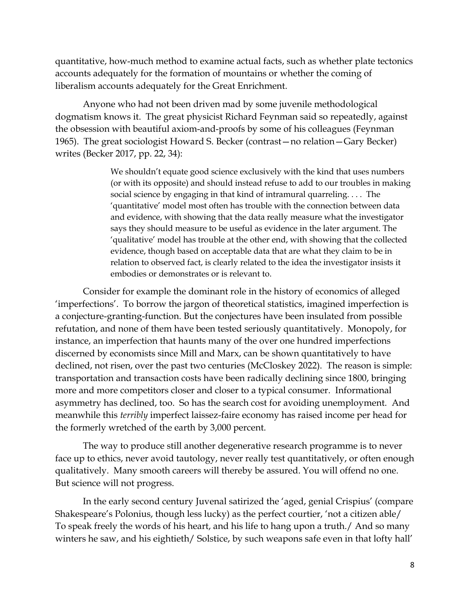quantitative, how-much method to examine actual facts, such as whether plate tectonics accounts adequately for the formation of mountains or whether the coming of liberalism accounts adequately for the Great Enrichment.

Anyone who had not been driven mad by some juvenile methodological dogmatism knows it. The great physicist Richard Feynman said so repeatedly, against the obsession with beautiful axiom-and-proofs by some of his colleagues (Feynman 1965). The great sociologist Howard S. Becker (contrast—no relation—Gary Becker) writes (Becker 2017, pp. 22, 34):

> We shouldn't equate good science exclusively with the kind that uses numbers (or with its opposite) and should instead refuse to add to our troubles in making social science by engaging in that kind of intramural quarreling. . . . The 'quantitative' model most often has trouble with the connection between data and evidence, with showing that the data really measure what the investigator says they should measure to be useful as evidence in the later argument. The 'qualitative' model has trouble at the other end, with showing that the collected evidence, though based on acceptable data that are what they claim to be in relation to observed fact, is clearly related to the idea the investigator insists it embodies or demonstrates or is relevant to.

Consider for example the dominant role in the history of economics of alleged 'imperfections'. To borrow the jargon of theoretical statistics, imagined imperfection is a conjecture-granting-function. But the conjectures have been insulated from possible refutation, and none of them have been tested seriously quantitatively. Monopoly, for instance, an imperfection that haunts many of the over one hundred imperfections discerned by economists since Mill and Marx, can be shown quantitatively to have declined, not risen, over the past two centuries (McCloskey 2022). The reason is simple: transportation and transaction costs have been radically declining since 1800, bringing more and more competitors closer and closer to a typical consumer. Informational asymmetry has declined, too. So has the search cost for avoiding unemployment. And meanwhile this *terribly* imperfect laissez-faire economy has raised income per head for the formerly wretched of the earth by 3,000 percent.

The way to produce still another degenerative research programme is to never face up to ethics, never avoid tautology, never really test quantitatively, or often enough qualitatively. Many smooth careers will thereby be assured. You will offend no one. But science will not progress.

In the early second century Juvenal satirized the 'aged, genial Crispius' (compare Shakespeare's Polonius, though less lucky) as the perfect courtier, 'not a citizen able/ To speak freely the words of his heart, and his life to hang upon a truth./ And so many winters he saw, and his eightieth/ Solstice, by such weapons safe even in that lofty hall'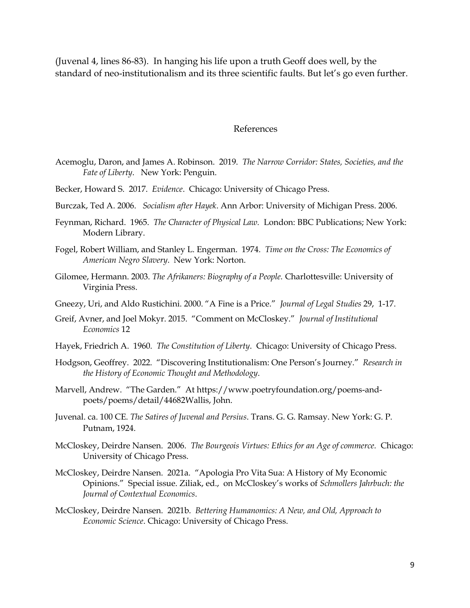(Juvenal 4, lines 86-83). In hanging his life upon a truth Geoff does well, by the standard of neo-institutionalism and its three scientific faults. But let's go even further.

## References

- Acemoglu, Daron, and James A. Robinson. 2019. *The Narrow Corridor: States, Societies, and the Fate of Liberty*. New York: Penguin.
- Becker, Howard S. 2017. *Evidence*. Chicago: University of Chicago Press.
- Burczak, Ted A. 2006. *Socialism after Hayek*. Ann Arbor: University of Michigan Press. 2006.
- Feynman, Richard. 1965. *The Character of Physical Law.* London: BBC Publications; New York: Modern Library.
- Fogel, Robert William, and Stanley L. Engerman. 1974. *Time on the Cross: The Economics of American Negro Slavery*. New York: Norton.
- Gilomee, Hermann. 2003. *The Afrikaners: Biography of a People.* Charlottesville: University of Virginia Press.
- Gneezy, Uri, and Aldo Rustichini. 2000. "A Fine is a Price." *Journal of Legal Studies* 29, 1-17.
- Greif, Avner, and Joel Mokyr. 2015. "Comment on McCloskey." *Journal of Institutional Economics* 12
- Hayek, Friedrich A. 1960. *The Constitution of Liberty*. Chicago: University of Chicago Press.
- Hodgson, Geoffrey. 2022. "Discovering Institutionalism: One Person's Journey." *Research in the History of Economic Thought and Methodology*.
- Marvell, Andrew. "The Garden." At https://www.poetryfoundation.org/poems-andpoets/poems/detail/44682Wallis, John.
- Juvenal. ca. 100 CE. *The Satires of Juvenal and Persius*. Trans. G. G. Ramsay. New York: G. P. Putnam, 1924.
- McCloskey, Deirdre Nansen. 2006. *The Bourgeois Virtues: Ethics for an Age of commerce.* Chicago: University of Chicago Press.
- McCloskey, Deirdre Nansen. 2021a. "Apologia Pro Vita Sua: A History of My Economic Opinions." Special issue. Ziliak, ed., on McCloskey's works of *Schmollers Jahrbuch: the Journal of Contextual Economics*.
- McCloskey, Deirdre Nansen. 2021b. *Bettering Humanomics: A New, and Old, Approach to Economic Science*. Chicago: University of Chicago Press.